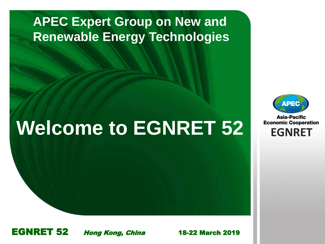#### **APEC Expert Group on New and Renewable Energy Technologies**

# **Welcome to EGNRET 52**



**Asia-Pacific Economic Cooperation EGNRET EGNRET**

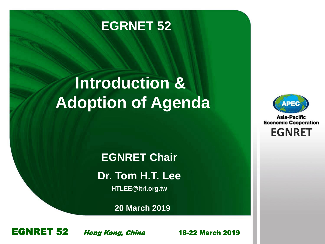

## **Introduction & Adoption of Agenda**



**Asia-Pacific Economic Cooperation EGNRET EGNRET**

**EGNRET Chair Dr. Tom H.T. Lee HTLEE@itri.org.tw**

**20 March 2019**



**Hong Kong, China 18-22 March 2019**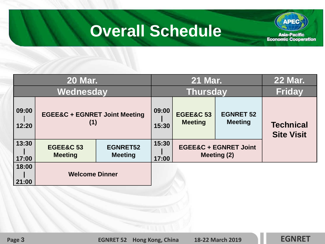## **Overall Schedule**

**APEC Asia-Pacific Economic Cooperation** 

| <b>20 Mar.</b> |                                                 | <b>21 Mar.</b>                    |                | <b>22 Mar.</b>                         |                                                 |                                       |
|----------------|-------------------------------------------------|-----------------------------------|----------------|----------------------------------------|-------------------------------------------------|---------------------------------------|
| Wednesday      |                                                 | <b>Thursday</b>                   |                | <b>Friday</b>                          |                                                 |                                       |
| 09:00<br>12:20 | <b>EGEE&amp;C + EGNRET Joint Meeting</b><br>(1) |                                   | 09:00<br>15:30 | <b>EGEE&amp;C 53</b><br><b>Meeting</b> | <b>EGNRET 52</b><br><b>Meeting</b>              | <b>Technical</b><br><b>Site Visit</b> |
| 13:30<br>17:00 | <b>EGEE&amp;C 53</b><br><b>Meeting</b>          | <b>EGNRET52</b><br><b>Meeting</b> | 15:30<br>17:00 |                                        | <b>EGEE&amp;C + EGNRET Joint</b><br>Meeting (2) |                                       |
| 18:00<br>21:00 | <b>Welcome Dinner</b>                           |                                   |                |                                        |                                                 |                                       |

**Page 3 EGNRET 52 Hong Kong, China 18-22 March 2019 EGNRET**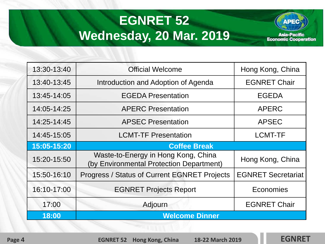### **EGNRET 52 Wednesday, 20 Mar. 2019**



| 13:30-13:40 | <b>Official Welcome</b>                                                         | Hong Kong, China          |  |
|-------------|---------------------------------------------------------------------------------|---------------------------|--|
| 13:40-13:45 | Introduction and Adoption of Agenda                                             | <b>EGNRET Chair</b>       |  |
| 13:45-14:05 | <b>EGEDA Presentation</b>                                                       | <b>EGEDA</b>              |  |
| 14:05-14:25 | <b>APERC Presentation</b>                                                       | APERC                     |  |
| 14:25-14:45 | <b>APSEC Presentation</b>                                                       | <b>APSEC</b>              |  |
| 14:45-15:05 | <b>LCMT-TF Presentation</b>                                                     | <b>LCMT-TF</b>            |  |
| 15:05-15:20 | <b>Coffee Break</b>                                                             |                           |  |
| 15:20-15:50 | Waste-to-Energy in Hong Kong, China<br>(by Environmental Protection Department) | Hong Kong, China          |  |
| 15:50-16:10 | <b>Progress / Status of Current EGNRET Projects</b>                             | <b>EGNRET Secretariat</b> |  |
| 16:10-17:00 | <b>EGNRET Projects Report</b>                                                   | Economies                 |  |
| 17:00       | Adjourn                                                                         | <b>EGNRET Chair</b>       |  |
| 18:00       | <b>Welcome Dinner</b>                                                           |                           |  |

**Page 4 EGNRET 52 Hong Kong, China 18-22 March 2019 EGNRET**

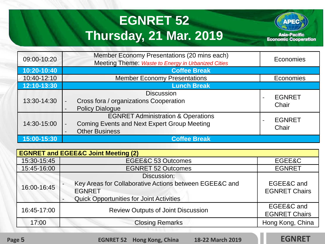### **EGNRET 52 Thursday, 21 Mar. 2019**



| 09:00-10:20 | Member Economy Presentations (20 mins each)<br>Meeting Theme: Waste to Energy in Urbanized Cities                            | Economies                                          |
|-------------|------------------------------------------------------------------------------------------------------------------------------|----------------------------------------------------|
| 10:20-10:40 | <b>Coffee Break</b>                                                                                                          |                                                    |
| 10:40-12:10 | <b>Member Economy Presentations</b>                                                                                          | Economies                                          |
| 12:10-13:30 | <b>Lunch Break</b>                                                                                                           |                                                    |
| 13:30-14:30 | <b>Discussion</b><br>Cross fora / organizations Cooperation<br><b>Policy Dialogue</b><br>$\overline{\phantom{0}}$            | <b>EGNRET</b><br>$\blacksquare$<br>Chair           |
| 14:30-15:00 | <b>EGNRET Administration &amp; Operations</b><br><b>Coming Events and Next Expert Group Meeting</b><br><b>Other Business</b> | <b>EGNRET</b><br>$\overline{\phantom{0}}$<br>Chair |
| 15:00-15:30 | <b>Coffee Break</b>                                                                                                          |                                                    |

| <b>EGNRET and EGEE&amp;C Joint Meeting (2)</b> |                                                                                                                                                                       |                                    |  |
|------------------------------------------------|-----------------------------------------------------------------------------------------------------------------------------------------------------------------------|------------------------------------|--|
| 15:30-15:45                                    | <b>EGEE&amp;C 53 Outcomes</b>                                                                                                                                         | EGEE&C                             |  |
| 15:45-16:00                                    | <b>EGNRET 52 Outcomes</b>                                                                                                                                             | <b>EGNRET</b>                      |  |
| 16:00-16:45                                    | Discussion:<br>Key Areas for Collaborative Actions between EGEE&C and<br><b>EGNRET</b><br><b>Quick Opportunities for Joint Activities</b><br>$\overline{\phantom{a}}$ | EGEE&C and<br><b>EGNRET Chairs</b> |  |
| 16:45-17:00                                    | <b>Review Outputs of Joint Discussion</b>                                                                                                                             | EGEE&C and<br><b>EGNRET Chairs</b> |  |
| 17:00                                          | <b>Closing Remarks</b>                                                                                                                                                | Hong Kong, China                   |  |

**Page 5 EGNRET 52 Hong Kong, China 18-22 March 2019 EGNRET**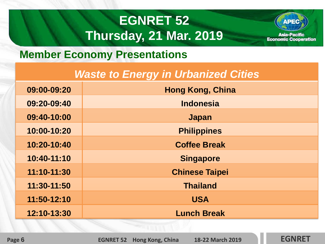### **EGNRET 52 Thursday, 21 Mar. 2019**



#### **Member Economy Presentations**

#### *Waste to Energy in Urbanized Cities*

| 09:00-09:20 | <b>Hong Kong, China</b> |
|-------------|-------------------------|
| 09:20-09:40 | <b>Indonesia</b>        |
| 09:40-10:00 | <b>Japan</b>            |
| 10:00-10:20 | <b>Philippines</b>      |
| 10:20-10:40 | <b>Coffee Break</b>     |
| 10:40-11:10 | <b>Singapore</b>        |
| 11:10-11:30 | <b>Chinese Taipei</b>   |
| 11:30-11:50 | <b>Thailand</b>         |
| 11:50-12:10 | <b>USA</b>              |
| 12:10-13:30 | <b>Lunch Break</b>      |

**Page 6 EGNRET 52 Hong Kong, China 18-22 March 2019 EGNRET**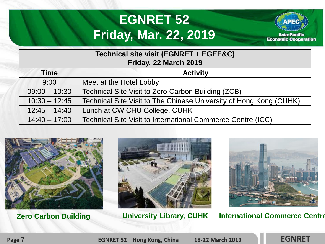#### **EGNRET 52 Friday, Mar. 22, 2019**



| Technical site visit (EGNRET + EGEE&C)<br>Friday, 22 March 2019 |                                                                    |  |  |
|-----------------------------------------------------------------|--------------------------------------------------------------------|--|--|
| <b>Time</b>                                                     | <b>Activity</b>                                                    |  |  |
| 9:00                                                            | Meet at the Hotel Lobby                                            |  |  |
| $09:00 - 10:30$                                                 | Technical Site Visit to Zero Carbon Building (ZCB)                 |  |  |
| $10:30 - 12:45$                                                 | Technical Site Visit to The Chinese University of Hong Kong (CUHK) |  |  |
| $12:45 - 14:40$                                                 | Lunch at CW CHU College, CUHK                                      |  |  |
| $14:40 - 17:00$                                                 | Technical Site Visit to International Commerce Centre (ICC)        |  |  |







**Zero Carbon Building University Library, CUHK International Commerce Centre**

**Page 7 EGNRET 52 Hong Kong, China 18-22 March 2019 EGNRET**